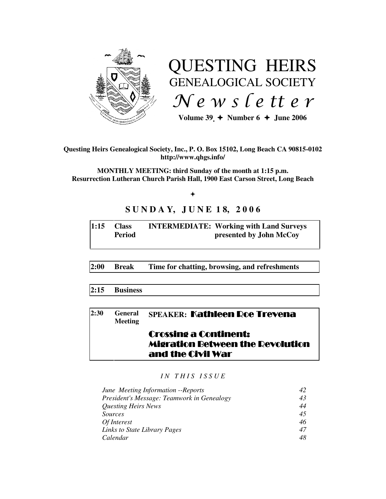

# QUESTING HEIRS GENEALOGICAL SOCIETY  $Ne$  w s letter

Volume  $39 \div \text{Number 6} \div \text{June } 2006$ 

**Questing Heirs Genealogical Society, Inc., P. O. Box 15102, Long Beach CA 90815-0102 http://www.qhgs.info/** 

**MONTHLY MEETING: third Sunday of the month at 1:15 p.m. Resurrection Lutheran Church Parish Hall, 1900 East Carson Street, Long Beach** 

 $+$ 

# **S U N D A Y, J U N E 1 8, 2 0 0 6**

| 1:15 | <b>Class</b>  | <b>INTERMEDIATE: Working with Land Surveys</b> |
|------|---------------|------------------------------------------------|
|      | <b>Period</b> | presented by John McCoy                        |
|      |               |                                                |

**2:00 Break Time for chatting, browsing, and refreshments** 

**2:15 Business** 

| 2:30 | <b>General</b><br><b>Meeting</b> | <b>SPEAKER: Kathleen Roe Trevena</b>                                                         |
|------|----------------------------------|----------------------------------------------------------------------------------------------|
|      |                                  | <b>Crossing a Continent:</b><br><b>Migration Between the Revolution</b><br>and the Civil War |

*I N T H I S I S S U E* 

| June Meeting Information -- Reports        |    |
|--------------------------------------------|----|
| President's Message: Teamwork in Genealogy | 43 |
| <b>Questing Heirs News</b>                 | 44 |
| <i>Sources</i>                             | 45 |
| Of Interest                                | 46 |
| Links to State Library Pages               | 47 |
| Calendar                                   | 48 |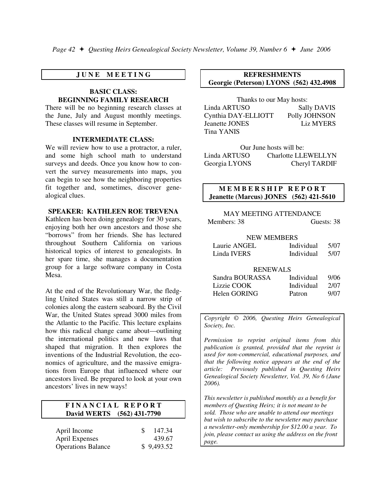## **J U N E M E E T I N G**

#### **BASIC CLASS: BEGINNING FAMILY RESEARCH**

There will be no beginning research classes at the June, July and August monthly meetings. These classes will resume in September.

#### **INTERMEDIATE CLASS:**

We will review how to use a protractor, a ruler, and some high school math to understand surveys and deeds. Once you know how to convert the survey measurements into maps, you can begin to see how the neighboring properties fit together and, sometimes, discover genealogical clues.

#### **SPEAKER: KATHLEEN ROE TREVENA**

Kathleen has been doing genealogy for 30 years, enjoying both her own ancestors and those she "borrows" from her friends. She has lectured throughout Southern California on various historical topics of interest to genealogists. In her spare time, she manages a documentation group for a large software company in Costa Mesa.

At the end of the Revolutionary War, the fledgling United States was still a narrow strip of colonies along the eastern seaboard. By the Civil War, the United States spread 3000 miles from the Atlantic to the Pacific. This lecture explains how this radical change came about—outlining the international politics and new laws that shaped that migration. It then explores the inventions of the Industrial Revolution, the economics of agriculture, and the massive emigrations from Europe that influenced where our ancestors lived. Be prepared to look at your own ancestors' lives in new ways!

## **F I N A N C I A L R E P O R T David WERTS (562) 431-7790**

| April Income              | <b>S</b> | 147.34     |
|---------------------------|----------|------------|
| <b>April Expenses</b>     |          | 439.67     |
| <b>Operations Balance</b> |          | \$9,493.52 |

#### **REFRESHMENTS Georgie (Peterson) LYONS (562) 432.4908**

Thanks to our May hosts: Linda ARTUSO Sally DAVIS Cynthia DAY-ELLIOTT Polly JOHNSON Jeanette JONES Liz MYERS Tina YANIS

Our June hosts will be: Linda ARTUSO Charlotte LLEWELLYN Georgia LYONS Cheryl TARDIF

## **M E M B E R S H I P R E P O R T Jeanette (Marcus) JONES (562) 421-5610**

# MAY MEETING ATTENDANCE Members: 38 Guests: 38

#### NEW MEMBERS

| Laurie ANGEL | Individual | 5/07 |
|--------------|------------|------|
| Linda IVERS  | Individual | 5/07 |

#### RENEWALS

| Sandra BOURASSA | Individual | 9/06 |
|-----------------|------------|------|
| Lizzie COOK     | Individual | 2/07 |
| Helen GORING    | Patron     | 9/07 |

*Copyright* © *2006, Questing Heirs Genealogical Society, Inc.* 

*Permission to reprint original items from this publication is granted, provided that the reprint is used for non-commercial, educational purposes, and that the following notice appears at the end of the article: Previously published in Questing Heirs Genealogical Society Newsletter, Vol. 39, No 6 (June 2006).* 

*This newsletter is published monthly as a benefit for members of Questing Heirs; it is not meant to be sold. Those who are unable to attend our meetings but wish to subscribe to the newsletter may purchase a newsletter-only membership for \$12.00 a year. To join, please contact us using the address on the front page.*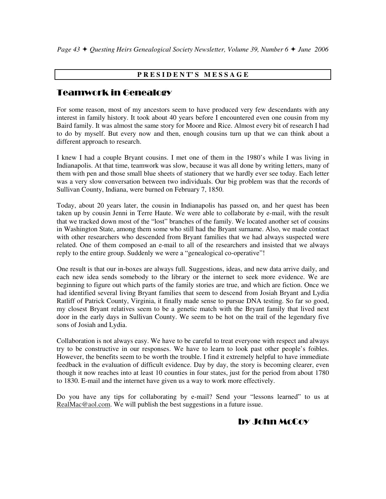# **P R E S I D E N T' S M E S S A G E**

# Teamwork in Genealogy

For some reason, most of my ancestors seem to have produced very few descendants with any interest in family history. It took about 40 years before I encountered even one cousin from my Baird family. It was almost the same story for Moore and Rice. Almost every bit of research I had to do by myself. But every now and then, enough cousins turn up that we can think about a different approach to research.

I knew I had a couple Bryant cousins. I met one of them in the 1980's while I was living in Indianapolis. At that time, teamwork was slow, because it was all done by writing letters, many of them with pen and those small blue sheets of stationery that we hardly ever see today. Each letter was a very slow conversation between two individuals. Our big problem was that the records of Sullivan County, Indiana, were burned on February 7, 1850.

Today, about 20 years later, the cousin in Indianapolis has passed on, and her quest has been taken up by cousin Jenni in Terre Haute. We were able to collaborate by e-mail, with the result that we tracked down most of the "lost" branches of the family. We located another set of cousins in Washington State, among them some who still had the Bryant surname. Also, we made contact with other researchers who descended from Bryant families that we had always suspected were related. One of them composed an e-mail to all of the researchers and insisted that we always reply to the entire group. Suddenly we were a "genealogical co-operative"!

One result is that our in-boxes are always full. Suggestions, ideas, and new data arrive daily, and each new idea sends somebody to the library or the internet to seek more evidence. We are beginning to figure out which parts of the family stories are true, and which are fiction. Once we had identified several living Bryant families that seem to descend from Josiah Bryant and Lydia Ratliff of Patrick County, Virginia, it finally made sense to pursue DNA testing. So far so good, my closest Bryant relatives seem to be a genetic match with the Bryant family that lived next door in the early days in Sullivan County. We seem to be hot on the trail of the legendary five sons of Josiah and Lydia.

Collaboration is not always easy. We have to be careful to treat everyone with respect and always try to be constructive in our responses. We have to learn to look past other people's foibles. However, the benefits seem to be worth the trouble. I find it extremely helpful to have immediate feedback in the evaluation of difficult evidence. Day by day, the story is becoming clearer, even though it now reaches into at least 10 counties in four states, just for the period from about 1780 to 1830. E-mail and the internet have given us a way to work more effectively.

Do you have any tips for collaborating by e-mail? Send your "lessons learned" to us at RealMac@aol.com. We will publish the best suggestions in a future issue.

# by John McCoy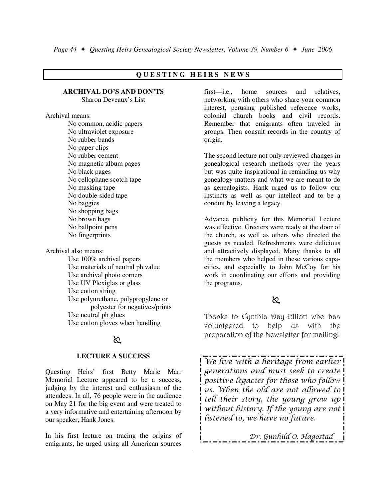# **Q U E S T I N G H E I R S N E W S**

#### **ARCHIVAL DO'S AND DON'TS**  Sharon Deveaux's List

Archival means:

 No common, acidic papers No ultraviolet exposure No rubber bands No paper clips No rubber cement No magnetic album pages No black pages No cellophane scotch tape No masking tape No double-sided tape No baggies No shopping bags No brown bags No ballpoint pens No fingerprints

Archival also means:

 Use 100% archival papers Use materials of neutral ph value Use archival photo corners Use UV Plexiglas or glass Use cotton string Use polyurethane, polypropylene or polyester for negatives/prints Use neutral ph glues Use cotton gloves when handling

# প্ৰ

#### **LECTURE A SUCCESS**

Questing Heirs' first Betty Marie Marr Memorial Lecture appeared to be a success, judging by the interest and enthusiasm of the attendees. In all, 76 people were in the audience on May 21 for the big event and were treated to a very informative and entertaining afternoon by our speaker, Hank Jones.

In his first lecture on tracing the origins of emigrants, he urged using all American sources first—i.e., home sources and relatives, networking with others who share your common interest, perusing published reference works, colonial church books and civil records. Remember that emigrants often traveled in groups. Then consult records in the country of origin.

The second lecture not only reviewed changes in genealogical research methods over the years but was quite inspirational in reminding us why genealogy matters and what we are meant to do as genealogists. Hank urged us to follow our instincts as well as our intellect and to be a conduit by leaving a legacy.

Advance publicity for this Memorial Lecture was effective. Greeters were ready at the door of the church, as well as others who directed the guests as needed. Refreshments were delicious and attractively displayed. Many thanks to all the members who helped in these various capacities, and especially to John McCoy for his work in coordinating our efforts and providing the programs.

# প্ৰ

Thanks to Cynthia Day-Elliott who has volunteered to help us with the preparation of the Newsletter for mailing!

We live with a heritage from earlier generations and must seek to create positive legacies for those who follow us. When the old are not allowed to tell their story, the young grow up without history. If the young are not listened to, we have no future.

Dr. Gunhild O. Hagostad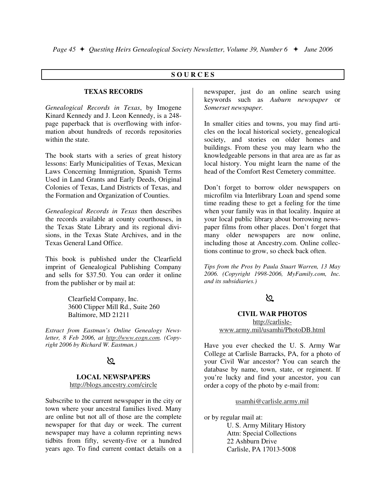#### **S O U R C E S**

#### **TEXAS RECORDS**

*Genealogical Records in Texas*, by Imogene Kinard Kennedy and J. Leon Kennedy, is a 248 page paperback that is overflowing with information about hundreds of records repositories within the state.

The book starts with a series of great history lessons: Early Municipalities of Texas, Mexican Laws Concerning Immigration, Spanish Terms Used in Land Grants and Early Deeds, Original Colonies of Texas, Land Districts of Texas, and the Formation and Organization of Counties.

*Genealogical Records in Texas* then describes the records available at county courthouses, in the Texas State Library and its regional divisions, in the Texas State Archives, and in the Texas General Land Office.

This book is published under the Clearfield imprint of Genealogical Publishing Company and sells for \$37.50. You can order it online from the publisher or by mail at:

> Clearfield Company, Inc. 3600 Clipper Mill Rd., Suite 260 Baltimore, MD 21211

*Extract from Eastman's Online Genealogy Newsletter, 8 Feb 2006, at http://www.eogn.com. (Copyright 2006 by Richard W. Eastman.)* 

# $\infty$

#### **LOCAL NEWSPAPERS** http://blogs.ancestry.com/circle

Subscribe to the current newspaper in the city or town where your ancestral families lived. Many are online but not all of those are the complete newspaper for that day or week. The current newspaper may have a column reprinting news tidbits from fifty, seventy-five or a hundred years ago. To find current contact details on a newspaper, just do an online search using keywords such as *Auburn newspaper* or *Somerset newspaper.*

In smaller cities and towns, you may find articles on the local historical society, genealogical society, and stories on older homes and buildings. From these you may learn who the knowledgeable persons in that area are as far as local history. You might learn the name of the head of the Comfort Rest Cemetery committee.

Don't forget to borrow older newspapers on microfilm via Interlibrary Loan and spend some time reading these to get a feeling for the time when your family was in that locality. Inquire at your local public library about borrowing newspaper films from other places. Don't forget that many older newspapers are now online, including those at Ancestry.com. Online collections continue to grow, so check back often.

*Tips from the Pros by Paula Stuart Warren, 13 May 2006. (Copyright 1998-2006, MyFamily.com, Inc. and its subsidiaries.)* 

# ১১

**CIVIL WAR PHOTOS** http://carlislewww.army.mil/usamhi/PhotoDB.html

Have you ever checked the U. S. Army War College at Carlisle Barracks, PA, for a photo of your Civil War ancestor? You can search the database by name, town, state, or regiment. If you're lucky and find your ancestor, you can order a copy of the photo by e-mail from:

usamhi@carlisle.army.mil

or by regular mail at:

 U. S. Army Military History Attn: Special Collections 22 Ashburn Drive Carlisle, PA 17013-5008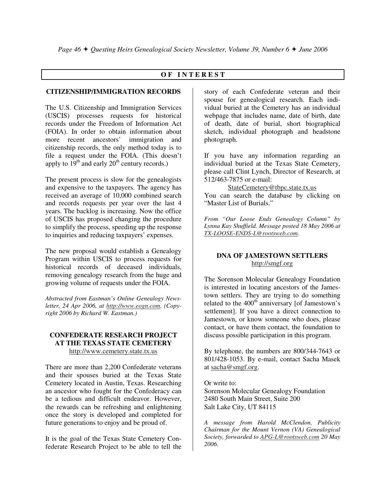# **O F I N T E R E S T**

## **CITIZENSHIP/IMMIGRATION RECORDS**

The U.S. Citizenship and Immigration Services (USCIS) processes requests for historical records under the Freedom of Information Act (FOIA). In order to obtain information about more recent ancestors' immigration and citizenship records, the only method today is to file a request under the FOIA. (This doesn't apply to  $19<sup>th</sup>$  and early  $20<sup>th</sup>$  century records.)

The present process is slow for the genealogists and expensive to the taxpayers. The agency has received an average of 10,000 combined search and records requests per year over the last 4 years. The backlog is increasing. Now the office of USCIS has proposed changing the procedure to simplify the process, speeding up the response to inquiries and reducing taxpayers' expenses.

The new proposal would establish a Genealogy Program within USCIS to process requests for historical records of deceased individuals, removing genealogy research from the huge and growing volume of requests under the FOIA.

*Abstracted from Eastman's Online Genealogy Newsletter, 24 Apr 2006, at http://www.eogn.com. (Copyright 2006 by Richard W. Eastman.)* 

#### **CONFEDERATE RESEARCH PROJECT AT THE TEXAS STATE CEMETERY**  http://www.cemetery.state.tx.us

There are more than 2,200 Confederate veterans and their spouses buried at the Texas State Cemetery located in Austin, Texas. Researching an ancestor who fought for the Confederacy can be a tedious and difficult endeavor. However, the rewards can be refreshing and enlightening once the story is developed and completed for future generations to enjoy and be proud of.

It is the goal of the Texas State Cemetery Confederate Research Project to be able to tell the story of each Confederate veteran and their spouse for genealogical research. Each individual buried at the Cemetery has an individual webpage that includes name, date of birth, date of death, date of burial, short biographical sketch, individual photograph and headstone photograph.

If you have any information regarding an individual buried at the Texas State Cemetery, please call Clint Lynch, Director of Research, at 512/463-7875 or e-mail:

## StateCemetery@tbpc.state.tx.us

You can search the database by clicking on "Master List of Burials."

*From "Our Loose Ends Genealogy Column" by Lynna Kay Shuffield. Message posted 18 May 2006 at TX-LOOSE-ENDS-L@rootsweb.com.* 

## **DNA OF JAMESTOWN SETTLERS**  http://smgf.org

The Sorenson Molecular Genealogy Foundation is interested in locating ancestors of the Jamestown settlers. They are trying to do something related to the  $400<sup>th</sup>$  anniversary [of Jamestown's settlement]. If you have a direct connection to Jamestown, or know someone who does, please contact, or have them contact, the foundation to discuss possible participation in this program.

By telephone, the numbers are 800/344-7643 or 801/428-1053. By e-mail, contact Sacha Masek at sacha@smgf.org.

Or write to: Sorenson Molecular Genealogy Foundation 2480 South Main Street, Suite 200 Salt Lake City, UT 84115

*A message from Harold McClendon, Publicity Chairman for the Mount Vernon (VA) Genealogical Society, forwarded to APG-L@rootsweb.com 20 May 2006.*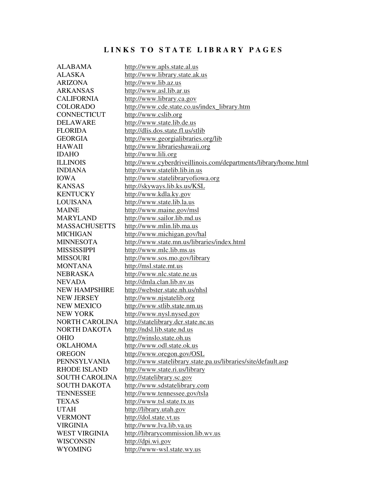# LINKS TO STATE LIBRARY PAGES

| <b>ALABAMA</b>        | http://www.apls.state.al.us                                     |
|-----------------------|-----------------------------------------------------------------|
| <b>ALASKA</b>         | http://www.library.state.ak.us                                  |
| <b>ARIZONA</b>        | http://www.lib.az.us                                            |
| <b>ARKANSAS</b>       | http://www.asl.lib.ar.us                                        |
| <b>CALIFORNIA</b>     | http://www.library.ca.gov                                       |
| <b>COLORADO</b>       | http://www.cde.state.co.us/index_library.htm                    |
| <b>CONNECTICUT</b>    | http://www.cslib.org                                            |
| <b>DELAWARE</b>       | http://www.state.lib.de.us                                      |
| <b>FLORIDA</b>        | http://dlis.dos.state.fl.us/stlib                               |
| <b>GEORGIA</b>        | http://www.georgialibraries.org/lib                             |
| <b>HAWAII</b>         | http://www.librarieshawaii.org                                  |
| <b>IDAHO</b>          | http://www.lili.org                                             |
| <b>ILLINOIS</b>       | http://www.cyberdriveillinois.com/departments/library/home.html |
| <b>INDIANA</b>        | http://www.statelib.lib.in.us                                   |
| <b>IOWA</b>           | http://www.statelibraryofiowa.org                               |
| <b>KANSAS</b>         | http://skyways.lib.ks.us/KSL                                    |
| <b>KENTUCKY</b>       | http://www.kdla.ky.gov                                          |
| <b>LOUISANA</b>       | http://www.state.lib.la.us                                      |
| <b>MAINE</b>          | http://www.maine.gov/msl                                        |
| <b>MARYLAND</b>       | http://www.sailor.lib.md.us                                     |
| <b>MASSACHUSETTS</b>  | http://www.mlin.lib.ma.us                                       |
| <b>MICHIGAN</b>       | http://www.michigan.gov/hal                                     |
| <b>MINNESOTA</b>      | http://www.state.mn.us/libraries/index.html                     |
| <b>MISSISSIPPI</b>    | http://www.mlc.lib.ms.us                                        |
| <b>MISSOURI</b>       | http://www.sos.mo.gov/library                                   |
| <b>MONTANA</b>        | http://msl.state.mt.us                                          |
| <b>NEBRASKA</b>       | http://www.nlc.state.ne.us                                      |
| <b>NEVADA</b>         | http://dmla.clan.lib.nv.us                                      |
| <b>NEW HAMPSHIRE</b>  | http://webster.state.nh.us/nhsl                                 |
| <b>NEW JERSEY</b>     | http://www.njstatelib.org                                       |
| <b>NEW MEXICO</b>     | http://www.stlib.state.nm.us                                    |
| <b>NEW YORK</b>       | http://www.nysl.nysed.gov                                       |
| <b>NORTH CAROLINA</b> | http://statelibrary.dcr.state.nc.us                             |
| NORTH DAKOTA          | http://ndsl.lib.state.nd.us                                     |
| <b>OHIO</b>           | http://winslo.state.oh.us                                       |
| <b>OKLAHOMA</b>       | http://www.odl.state.ok.us                                      |
| <b>OREGON</b>         | http://www.oregon.gov/OSL                                       |
| <b>PENNSYLVANIA</b>   | http://www.statelibrary.state.pa.us/libraries/site/default.asp  |
| <b>RHODE ISLAND</b>   | http://www.state.ri.us/library                                  |
| <b>SOUTH CAROLINA</b> | http://statelibrary.sc.gov                                      |
| <b>SOUTH DAKOTA</b>   | http://www.sdstatelibrary.com                                   |
| <b>TENNESSEE</b>      | http://www.tennessee.gov/tsla                                   |
| <b>TEXAS</b>          | http://www.tsl.state.tx.us                                      |
| <b>UTAH</b>           | http://library.utah.gov                                         |
| <b>VERMONT</b>        | http://dol.state.vt.us                                          |
| <b>VIRGINIA</b>       | http://www.lva.lib.va.us                                        |
| <b>WEST VIRGINIA</b>  | http://librarycommission.lib.wv.us                              |
| <b>WISCONSIN</b>      | http://dpi.wi.gov                                               |
| <b>WYOMING</b>        | http://www-wsl.state.wy.us                                      |
|                       |                                                                 |